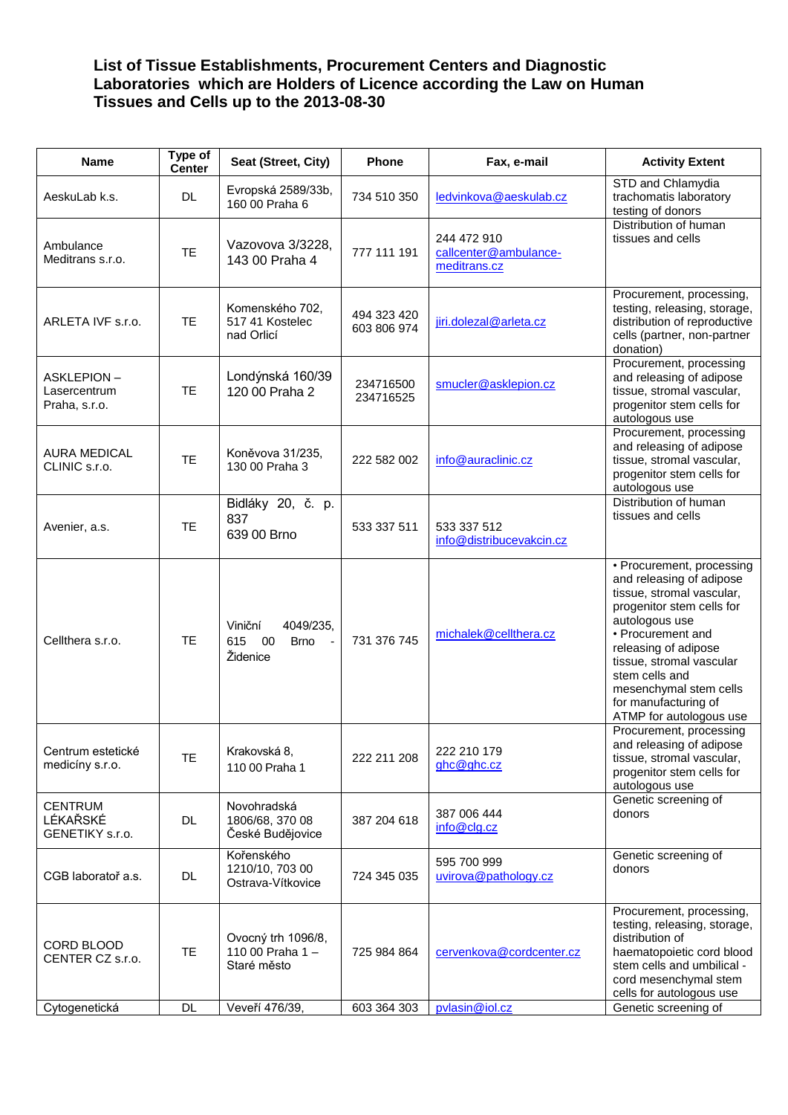## **List of Tissue Establishments, Procurement Centers and Diagnostic Laboratories which are Holders of Licence according the Law on Human Tissues and Cells up to the 2013-08-30**

| Name                                               | Type of<br><b>Center</b> | Seat (Street, City)                                          | Phone                      | Fax, e-mail                                          | <b>Activity Extent</b>                                                                                                                                                                                                                                                                                    |
|----------------------------------------------------|--------------------------|--------------------------------------------------------------|----------------------------|------------------------------------------------------|-----------------------------------------------------------------------------------------------------------------------------------------------------------------------------------------------------------------------------------------------------------------------------------------------------------|
| AeskuLab k.s.                                      | <b>DL</b>                | Evropská 2589/33b,<br>160 00 Praha 6                         | 734 510 350                | ledvinkova@aeskulab.cz                               | STD and Chlamydia<br>trachomatis laboratory<br>testing of donors                                                                                                                                                                                                                                          |
| Ambulance<br>Meditrans s.r.o.                      | <b>TE</b>                | Vazovova 3/3228,<br>143 00 Praha 4                           | 777 111 191                | 244 472 910<br>callcenter@ambulance-<br>meditrans.cz | Distribution of human<br>tissues and cells                                                                                                                                                                                                                                                                |
| ARLETA IVF s.r.o.                                  | <b>TE</b>                | Komenského 702,<br>517 41 Kostelec<br>nad Orlicí             | 494 323 420<br>603 806 974 | jiri.dolezal@arleta.cz                               | Procurement, processing,<br>testing, releasing, storage,<br>distribution of reproductive<br>cells (partner, non-partner<br>donation)                                                                                                                                                                      |
| <b>ASKLEPION-</b><br>Lasercentrum<br>Praha, s.r.o. | <b>TE</b>                | Londýnská 160/39<br>120 00 Praha 2                           | 234716500<br>234716525     | smucler@asklepion.cz                                 | Procurement, processing<br>and releasing of adipose<br>tissue, stromal vascular,<br>progenitor stem cells for<br>autologous use                                                                                                                                                                           |
| <b>AURA MEDICAL</b><br>CLINIC s.r.o.               | <b>TE</b>                | Koněvova 31/235,<br>130 00 Praha 3                           | 222 582 002                | info@auraclinic.cz                                   | Procurement, processing<br>and releasing of adipose<br>tissue, stromal vascular,<br>progenitor stem cells for<br>autologous use                                                                                                                                                                           |
| Avenier, a.s.                                      | <b>TE</b>                | Bidláky 20, č. p.<br>837<br>639 00 Brno                      | 533 337 511                | 533 337 512<br>info@distribucevakcin.cz              | Distribution of human<br>tissues and cells                                                                                                                                                                                                                                                                |
| Cellthera s.r.o.                                   | <b>TE</b>                | Viniční<br>4049/235,<br>00<br>615<br><b>Brno</b><br>Židenice | 731 376 745                | michalek@cellthera.cz                                | • Procurement, processing<br>and releasing of adipose<br>tissue, stromal vascular,<br>progenitor stem cells for<br>autologous use<br>• Procurement and<br>releasing of adipose<br>tissue, stromal vascular<br>stem cells and<br>mesenchymal stem cells<br>for manufacturing of<br>ATMP for autologous use |
| Centrum estetické<br>medicíny s.r.o.               | <b>TE</b>                | Krakovská 8,<br>110 00 Praha 1                               | 222 211 208                | 222 210 179<br>ghc@ghc.cz                            | Procurement, processing<br>and releasing of adipose<br>tissue, stromal vascular,<br>progenitor stem cells for<br>autologous use                                                                                                                                                                           |
| <b>CENTRUM</b><br>LÉKAŘSKÉ<br>GENETIKY s.r.o.      | DL                       | Novohradská<br>1806/68, 370 08<br>České Budějovice           | 387 204 618                | 387 006 444<br>info@clg.cz                           | Genetic screening of<br>donors                                                                                                                                                                                                                                                                            |
| CGB laboratoř a.s.                                 | <b>DL</b>                | Kořenského<br>1210/10, 703 00<br>Ostrava-Vítkovice           | 724 345 035                | 595 700 999<br>uvirova@pathology.cz                  | Genetic screening of<br>donors                                                                                                                                                                                                                                                                            |
| CORD BLOOD<br>CENTER CZ s.r.o.                     | <b>TE</b>                | Ovocný trh 1096/8,<br>110 00 Praha 1-<br>Staré město         | 725 984 864                | cervenkova@cordcenter.cz                             | Procurement, processing,<br>testing, releasing, storage,<br>distribution of<br>haematopoietic cord blood<br>stem cells and umbilical -<br>cord mesenchymal stem<br>cells for autologous use                                                                                                               |
| Cytogenetická                                      | DL                       | Veveří 476/39,                                               | 603 364 303                | pvlasin@iol.cz                                       | Genetic screening of                                                                                                                                                                                                                                                                                      |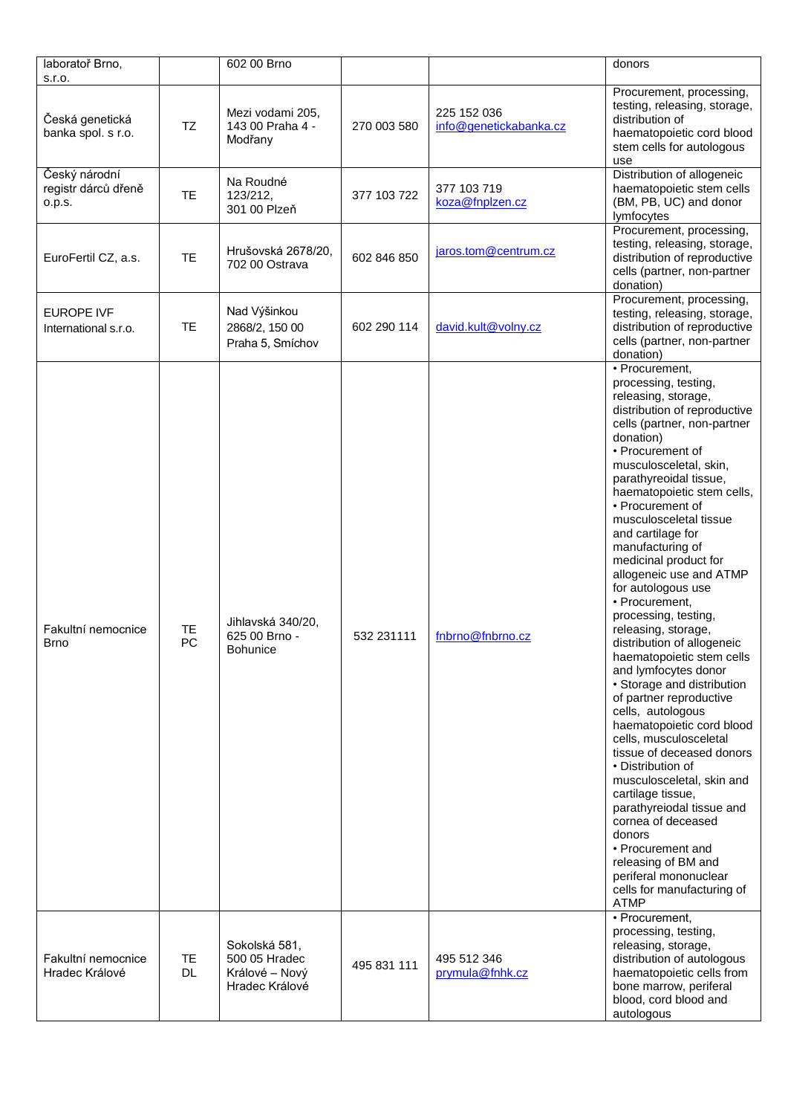| laboratoř Brno,                                 |                        | 602 00 Brno                                                        |             |                                       | donors                                                                                                                                                                                                                                                                                                                                                                                                                                                                                                                                                                                                                                                                                                                                                                                                                                                                                                                                                                                       |
|-------------------------------------------------|------------------------|--------------------------------------------------------------------|-------------|---------------------------------------|----------------------------------------------------------------------------------------------------------------------------------------------------------------------------------------------------------------------------------------------------------------------------------------------------------------------------------------------------------------------------------------------------------------------------------------------------------------------------------------------------------------------------------------------------------------------------------------------------------------------------------------------------------------------------------------------------------------------------------------------------------------------------------------------------------------------------------------------------------------------------------------------------------------------------------------------------------------------------------------------|
| s.r.o.<br>Česká genetická<br>banka spol. s r.o. | <b>TZ</b>              | Mezi vodami 205,<br>143 00 Praha 4 -<br>Modřany                    | 270 003 580 | 225 152 036<br>info@genetickabanka.cz | Procurement, processing,<br>testing, releasing, storage,<br>distribution of<br>haematopoietic cord blood                                                                                                                                                                                                                                                                                                                                                                                                                                                                                                                                                                                                                                                                                                                                                                                                                                                                                     |
| Český národní<br>registr dárců dřeně            | <b>TE</b>              | Na Roudné<br>123/212,                                              | 377 103 722 | 377 103 719                           | stem cells for autologous<br>use<br>Distribution of allogeneic<br>haematopoietic stem cells                                                                                                                                                                                                                                                                                                                                                                                                                                                                                                                                                                                                                                                                                                                                                                                                                                                                                                  |
| 0.p.s.                                          |                        | 301 00 Plzeň                                                       |             | koza@fnplzen.cz                       | (BM, PB, UC) and donor<br>lymfocytes<br>Procurement, processing,                                                                                                                                                                                                                                                                                                                                                                                                                                                                                                                                                                                                                                                                                                                                                                                                                                                                                                                             |
| EuroFertil CZ, a.s.                             | <b>TE</b>              | Hrušovská 2678/20,<br>702 00 Ostrava                               | 602 846 850 | jaros.tom@centrum.cz                  | testing, releasing, storage,<br>distribution of reproductive<br>cells (partner, non-partner<br>donation)                                                                                                                                                                                                                                                                                                                                                                                                                                                                                                                                                                                                                                                                                                                                                                                                                                                                                     |
| <b>EUROPE IVF</b><br>International s.r.o.       | TE                     | Nad Výšinkou<br>2868/2, 150 00<br>Praha 5, Smíchov                 | 602 290 114 | david.kult@volny.cz                   | Procurement, processing,<br>testing, releasing, storage,<br>distribution of reproductive<br>cells (partner, non-partner<br>donation)                                                                                                                                                                                                                                                                                                                                                                                                                                                                                                                                                                                                                                                                                                                                                                                                                                                         |
| Fakultní nemocnice<br>Brno                      | TE<br>PC               | Jihlavská 340/20,<br>625 00 Brno -<br>Bohunice                     | 532 231111  | fnbrno@fnbrno.cz                      | • Procurement,<br>processing, testing,<br>releasing, storage,<br>distribution of reproductive<br>cells (partner, non-partner<br>donation)<br>• Procurement of<br>musculosceletal, skin,<br>parathyreoidal tissue,<br>haematopoietic stem cells,<br>• Procurement of<br>musculosceletal tissue<br>and cartilage for<br>manufacturing of<br>medicinal product for<br>allogeneic use and ATMP<br>for autologous use<br>• Procurement,<br>processing, testing,<br>releasing, storage,<br>distribution of allogeneic<br>haematopoietic stem cells<br>and lymfocytes donor<br>• Storage and distribution<br>of partner reproductive<br>cells, autologous<br>haematopoietic cord blood<br>cells, musculosceletal<br>tissue of deceased donors<br>• Distribution of<br>musculosceletal, skin and<br>cartilage tissue,<br>parathyreiodal tissue and<br>cornea of deceased<br>donors<br>• Procurement and<br>releasing of BM and<br>periferal mononuclear<br>cells for manufacturing of<br><b>ATMP</b> |
| Fakultní nemocnice<br>Hradec Králové            | <b>TE</b><br><b>DL</b> | Sokolská 581,<br>500 05 Hradec<br>Králové – Nový<br>Hradec Králové | 495 831 111 | 495 512 346<br>prymula@fnhk.cz        | • Procurement,<br>processing, testing,<br>releasing, storage,<br>distribution of autologous<br>haematopoietic cells from<br>bone marrow, periferal<br>blood, cord blood and<br>autologous                                                                                                                                                                                                                                                                                                                                                                                                                                                                                                                                                                                                                                                                                                                                                                                                    |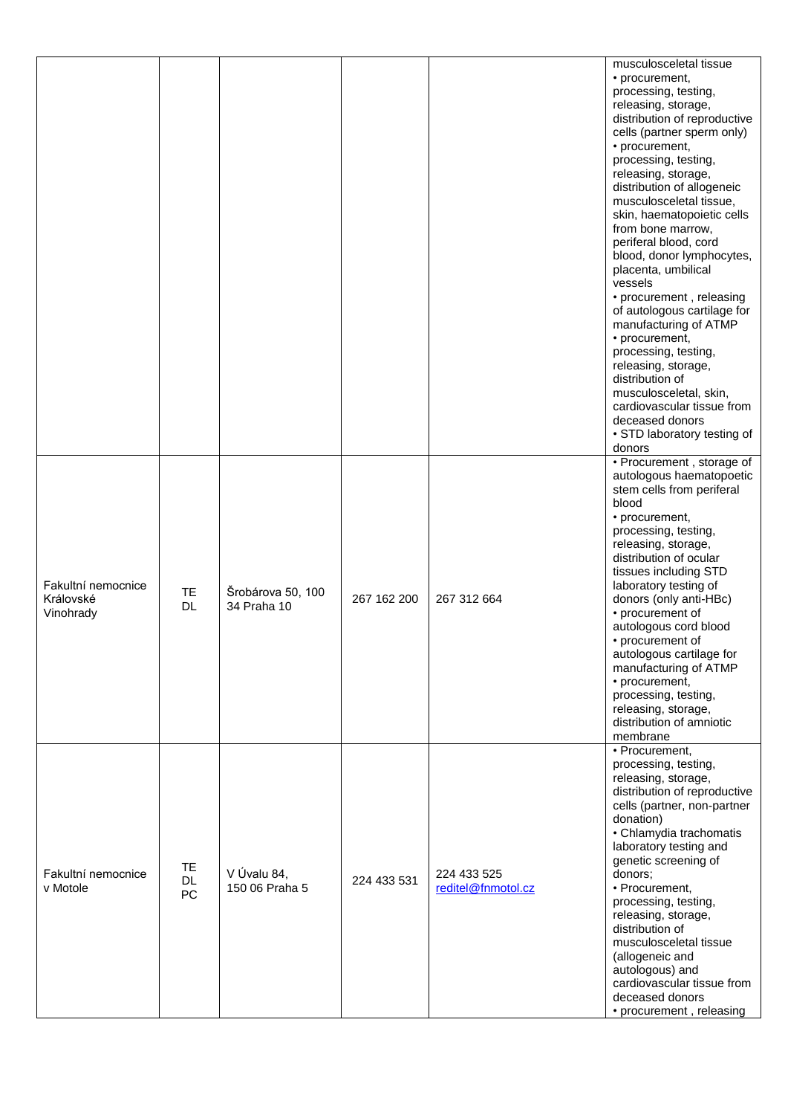|                                              |                       |                                  |             |                                   | musculosceletal tissue<br>• procurement,<br>processing, testing,<br>releasing, storage,<br>distribution of reproductive<br>cells (partner sperm only)<br>• procurement,<br>processing, testing,<br>releasing, storage,<br>distribution of allogeneic<br>musculosceletal tissue,<br>skin, haematopoietic cells<br>from bone marrow,<br>periferal blood, cord<br>blood, donor lymphocytes,<br>placenta, umbilical<br>vessels<br>• procurement, releasing<br>of autologous cartilage for<br>manufacturing of ATMP<br>• procurement,<br>processing, testing,<br>releasing, storage,<br>distribution of<br>musculosceletal, skin,<br>cardiovascular tissue from<br>deceased donors<br>• STD laboratory testing of<br>donors |
|----------------------------------------------|-----------------------|----------------------------------|-------------|-----------------------------------|------------------------------------------------------------------------------------------------------------------------------------------------------------------------------------------------------------------------------------------------------------------------------------------------------------------------------------------------------------------------------------------------------------------------------------------------------------------------------------------------------------------------------------------------------------------------------------------------------------------------------------------------------------------------------------------------------------------------|
| Fakultní nemocnice<br>Královské<br>Vinohrady | TE<br><b>DL</b>       | Šrobárova 50, 100<br>34 Praha 10 | 267 162 200 | 267 312 664                       | • Procurement, storage of<br>autologous haematopoetic<br>stem cells from periferal<br>blood<br>• procurement,<br>processing, testing,<br>releasing, storage,<br>distribution of ocular<br>tissues including STD<br>laboratory testing of<br>donors (only anti-HBc)<br>• procurement of<br>autologous cord blood<br>• procurement of<br>autologous cartilage for<br>manufacturing of ATMP<br>• procurement,<br>processing, testing,<br>releasing, storage,<br>distribution of amniotic<br>membrane                                                                                                                                                                                                                      |
| Fakultní nemocnice<br>v Motole               | TE<br><b>DL</b><br>PC | V Úvalu 84,<br>150 06 Praha 5    | 224 433 531 | 224 433 525<br>reditel@fnmotol.cz | • Procurement,<br>processing, testing,<br>releasing, storage,<br>distribution of reproductive<br>cells (partner, non-partner<br>donation)<br>• Chlamydia trachomatis<br>laboratory testing and<br>genetic screening of<br>donors;<br>• Procurement,<br>processing, testing,<br>releasing, storage,<br>distribution of<br>musculosceletal tissue<br>(allogeneic and<br>autologous) and<br>cardiovascular tissue from<br>deceased donors<br>• procurement, releasing                                                                                                                                                                                                                                                     |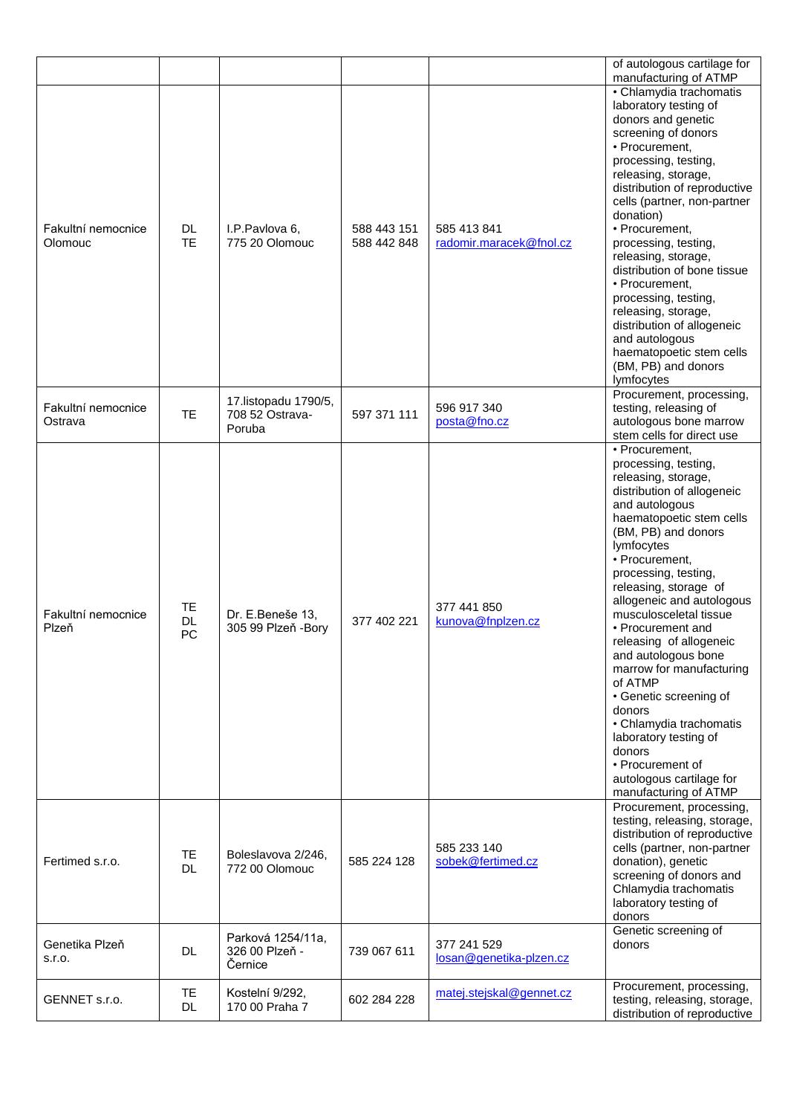|                               |                        |                                                    |                            |                                        | of autologous cartilage for<br>manufacturing of ATMP                                                                                                                                                                                                                                                                                                                                                                                                                                                                                                                                              |
|-------------------------------|------------------------|----------------------------------------------------|----------------------------|----------------------------------------|---------------------------------------------------------------------------------------------------------------------------------------------------------------------------------------------------------------------------------------------------------------------------------------------------------------------------------------------------------------------------------------------------------------------------------------------------------------------------------------------------------------------------------------------------------------------------------------------------|
| Fakultní nemocnice<br>Olomouc | DL.<br><b>TE</b>       | I.P.Pavlova 6,<br>775 20 Olomouc                   | 588 443 151<br>588 442 848 | 585 413 841<br>radomir.maracek@fnol.cz | · Chlamydia trachomatis<br>laboratory testing of<br>donors and genetic<br>screening of donors<br>• Procurement,<br>processing, testing,<br>releasing, storage,<br>distribution of reproductive<br>cells (partner, non-partner<br>donation)<br>• Procurement,<br>processing, testing,<br>releasing, storage,<br>distribution of bone tissue<br>• Procurement.<br>processing, testing,<br>releasing, storage,<br>distribution of allogeneic<br>and autologous<br>haematopoetic stem cells<br>(BM, PB) and donors<br>lymfocytes                                                                      |
| Fakultní nemocnice<br>Ostrava | <b>TE</b>              | 17. listopadu 1790/5,<br>708 52 Ostrava-<br>Poruba | 597 371 111                | 596 917 340<br>posta@fno.cz            | Procurement, processing,<br>testing, releasing of<br>autologous bone marrow<br>stem cells for direct use                                                                                                                                                                                                                                                                                                                                                                                                                                                                                          |
| Fakultní nemocnice<br>Plzeň   | TE<br>DL<br>PC         | Dr. E.Beneše 13,<br>305 99 Plzeň - Bory            | 377 402 221                | 377 441 850<br>kunova@fnplzen.cz       | • Procurement,<br>processing, testing,<br>releasing, storage,<br>distribution of allogeneic<br>and autologous<br>haematopoetic stem cells<br>(BM, PB) and donors<br>lymfocytes<br>• Procurement,<br>processing, testing,<br>releasing, storage of<br>allogeneic and autologous<br>musculosceletal tissue<br>• Procurement and<br>releasing of allogeneic<br>and autologous bone<br>marrow for manufacturing<br>of ATMP<br>• Genetic screening of<br>donors<br>• Chlamydia trachomatis<br>laboratory testing of<br>donors<br>• Procurement of<br>autologous cartilage for<br>manufacturing of ATMP |
| Fertimed s.r.o.               | <b>TE</b><br><b>DL</b> | Boleslavova 2/246,<br>772 00 Olomouc               | 585 224 128                | 585 233 140<br>sobek@fertimed.cz       | Procurement, processing,<br>testing, releasing, storage,<br>distribution of reproductive<br>cells (partner, non-partner<br>donation), genetic<br>screening of donors and<br>Chlamydia trachomatis<br>laboratory testing of<br>donors                                                                                                                                                                                                                                                                                                                                                              |
| Genetika Plzeň<br>s.r.o.      | <b>DL</b>              | Parková 1254/11a,<br>326 00 Plzeň -<br>Černice     | 739 067 611                | 377 241 529<br>losan@genetika-plzen.cz | Genetic screening of<br>donors                                                                                                                                                                                                                                                                                                                                                                                                                                                                                                                                                                    |
| GENNET s.r.o.                 | <b>TE</b><br>DL.       | Kostelní 9/292.<br>170 00 Praha 7                  | 602 284 228                | matej.stejskal@gennet.cz               | Procurement, processing,<br>testing, releasing, storage,<br>distribution of reproductive                                                                                                                                                                                                                                                                                                                                                                                                                                                                                                          |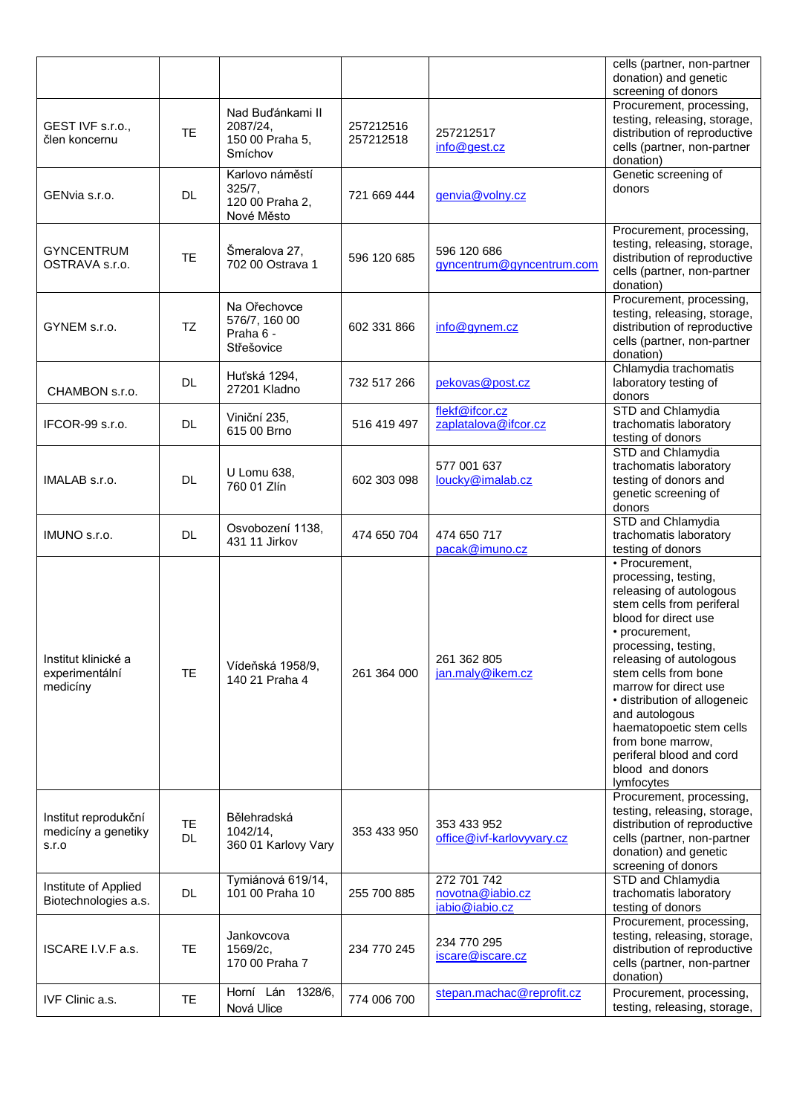|                                                      |                 |                                                            |                        |                                                   | cells (partner, non-partner<br>donation) and genetic<br>screening of donors                                                                                                                                                                                                                                                                                                                                   |
|------------------------------------------------------|-----------------|------------------------------------------------------------|------------------------|---------------------------------------------------|---------------------------------------------------------------------------------------------------------------------------------------------------------------------------------------------------------------------------------------------------------------------------------------------------------------------------------------------------------------------------------------------------------------|
| GEST IVF s.r.o.,<br>člen koncernu                    | <b>TE</b>       | Nad Buďánkami II<br>2087/24,<br>150 00 Praha 5,<br>Smíchov | 257212516<br>257212518 | 257212517<br>info@gest.cz                         | Procurement, processing,<br>testing, releasing, storage,<br>distribution of reproductive<br>cells (partner, non-partner<br>donation)                                                                                                                                                                                                                                                                          |
| GENvia s.r.o.                                        | <b>DL</b>       | Karlovo náměstí<br>325/7,<br>120 00 Praha 2,<br>Nové Město | 721 669 444            | genvia@volny.cz                                   | Genetic screening of<br>donors                                                                                                                                                                                                                                                                                                                                                                                |
| <b>GYNCENTRUM</b><br>OSTRAVA s.r.o.                  | <b>TE</b>       | Šmeralova 27,<br>702 00 Ostrava 1                          | 596 120 685            | 596 120 686<br>gyncentrum@gyncentrum.com          | Procurement, processing,<br>testing, releasing, storage,<br>distribution of reproductive<br>cells (partner, non-partner<br>donation)                                                                                                                                                                                                                                                                          |
| GYNEM s.r.o.                                         | <b>TZ</b>       | Na Ořechovce<br>576/7, 160 00<br>Praha 6 -<br>Střešovice   | 602 331 866            | info@gynem.cz                                     | Procurement, processing,<br>testing, releasing, storage,<br>distribution of reproductive<br>cells (partner, non-partner<br>donation)                                                                                                                                                                                                                                                                          |
| CHAMBON s.r.o.                                       | <b>DL</b>       | Huťská 1294,<br>27201 Kladno                               | 732 517 266            | pekovas@post.cz                                   | Chlamydia trachomatis<br>laboratory testing of<br>donors                                                                                                                                                                                                                                                                                                                                                      |
| IFCOR-99 s.r.o.                                      | <b>DL</b>       | Viniční 235,<br>615 00 Brno                                | 516 419 497            | flekf@ifcor.cz<br>zaplatalova@ifcor.cz            | STD and Chlamydia<br>trachomatis laboratory<br>testing of donors                                                                                                                                                                                                                                                                                                                                              |
| IMALAB s.r.o.                                        | DL              | U Lomu 638,<br>760 01 Zlín                                 | 602 303 098            | 577 001 637<br>loucky@imalab.cz                   | STD and Chlamydia<br>trachomatis laboratory<br>testing of donors and<br>genetic screening of<br>donors                                                                                                                                                                                                                                                                                                        |
| IMUNO s.r.o.                                         | <b>DL</b>       | Osvobození 1138,<br>431 11 Jirkov                          | 474 650 704            | 474 650 717<br>pacak@imuno.cz                     | STD and Chlamydia<br>trachomatis laboratory<br>testing of donors                                                                                                                                                                                                                                                                                                                                              |
| Institut klinické a<br>experimentální<br>medicíny    | <b>TE</b>       | Vídeňská 1958/9,<br>140 21 Praha 4                         | 261 364 000            | 261 362 805<br>jan.maly@ikem.cz                   | • Procurement,<br>processing, testing,<br>releasing of autologous<br>stem cells from periferal<br>blood for direct use<br>• procurement,<br>processing, testing,<br>releasing of autologous<br>stem cells from bone<br>marrow for direct use<br>· distribution of allogeneic<br>and autologous<br>haematopoetic stem cells<br>from bone marrow,<br>periferal blood and cord<br>blood and donors<br>lymfocytes |
| Institut reprodukční<br>medicíny a genetiky<br>S.I.O | TE<br><b>DL</b> | Bělehradská<br>1042/14,<br>360 01 Karlovy Vary             | 353 433 950            | 353 433 952<br>office@ivf-karlovyvary.cz          | Procurement, processing,<br>testing, releasing, storage,<br>distribution of reproductive<br>cells (partner, non-partner<br>donation) and genetic<br>screening of donors                                                                                                                                                                                                                                       |
| Institute of Applied<br>Biotechnologies a.s.         | DL.             | Tymiánová 619/14,<br>101 00 Praha 10                       | 255 700 885            | 272 701 742<br>novotna@iabio.cz<br>iabio@iabio.cz | STD and Chlamydia<br>trachomatis laboratory<br>testing of donors                                                                                                                                                                                                                                                                                                                                              |
| ISCARE I.V.F a.s.                                    | <b>TE</b>       | Jankovcova<br>1569/2c,<br>170 00 Praha 7                   | 234 770 245            | 234 770 295<br>iscare@iscare.cz                   | Procurement, processing,<br>testing, releasing, storage,<br>distribution of reproductive<br>cells (partner, non-partner<br>donation)                                                                                                                                                                                                                                                                          |
| IVF Clinic a.s.                                      | <b>TE</b>       | 1328/6,<br>Horní Lán<br>Nová Ulice                         | 774 006 700            | stepan.machac@reprofit.cz                         | Procurement, processing,<br>testing, releasing, storage,                                                                                                                                                                                                                                                                                                                                                      |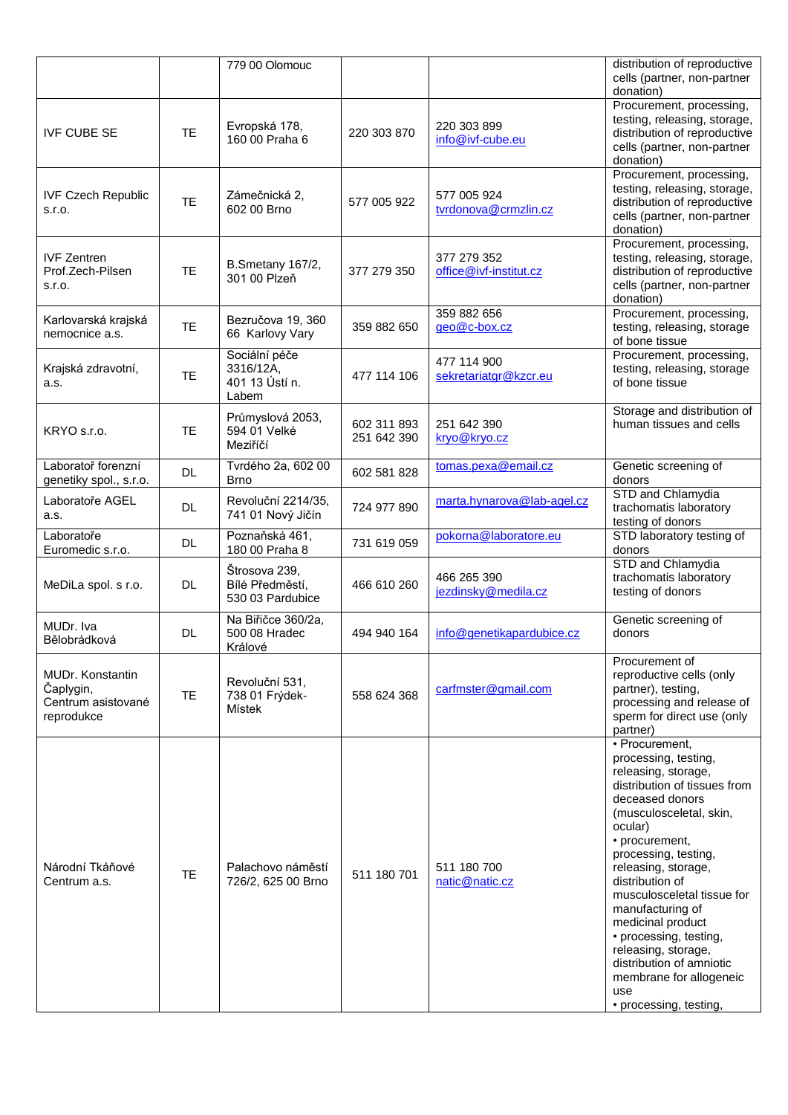|                                                                   |           | 779 00 Olomouc                                        |                            |                                       | distribution of reproductive<br>cells (partner, non-partner                                                                                                                                                                                                                                                                                                                                                                                                |
|-------------------------------------------------------------------|-----------|-------------------------------------------------------|----------------------------|---------------------------------------|------------------------------------------------------------------------------------------------------------------------------------------------------------------------------------------------------------------------------------------------------------------------------------------------------------------------------------------------------------------------------------------------------------------------------------------------------------|
| <b>IVF CUBE SE</b>                                                | <b>TE</b> | Evropská 178,<br>160 00 Praha 6                       | 220 303 870                | 220 303 899<br>info@ivf-cube.eu       | donation)<br>Procurement, processing,<br>testing, releasing, storage,<br>distribution of reproductive<br>cells (partner, non-partner<br>donation)                                                                                                                                                                                                                                                                                                          |
| <b>IVF Czech Republic</b><br>s.r.o.                               | <b>TE</b> | Zámečnická 2.<br>602 00 Brno                          | 577 005 922                | 577 005 924<br>tvrdonova@crmzlin.cz   | Procurement, processing,<br>testing, releasing, storage,<br>distribution of reproductive<br>cells (partner, non-partner<br>donation)                                                                                                                                                                                                                                                                                                                       |
| <b>IVF Zentren</b><br>Prof.Zech-Pilsen<br>s.r.o.                  | <b>TE</b> | B.Smetany 167/2,<br>301 00 Plzeň                      | 377 279 350                | 377 279 352<br>office@ivf-institut.cz | Procurement, processing,<br>testing, releasing, storage,<br>distribution of reproductive<br>cells (partner, non-partner<br>donation)                                                                                                                                                                                                                                                                                                                       |
| Karlovarská krajská<br>nemocnice a.s.                             | <b>TE</b> | Bezručova 19, 360<br>66 Karlovy Vary                  | 359 882 650                | 359 882 656<br>geo@c-box.cz           | Procurement, processing,<br>testing, releasing, storage<br>of bone tissue                                                                                                                                                                                                                                                                                                                                                                                  |
| Krajská zdravotní,<br>a.s.                                        | TE        | Sociální péče<br>3316/12A,<br>401 13 Ústí n.<br>Labem | 477 114 106                | 477 114 900<br>sekretariatgr@kzcr.eu  | Procurement, processing,<br>testing, releasing, storage<br>of bone tissue                                                                                                                                                                                                                                                                                                                                                                                  |
| KRYO s.r.o.                                                       | TE        | Průmyslová 2053,<br>594 01 Velké<br>Meziříčí          | 602 311 893<br>251 642 390 | 251 642 390<br>kryo@kryo.cz           | Storage and distribution of<br>human tissues and cells                                                                                                                                                                                                                                                                                                                                                                                                     |
| Laboratoř forenzní<br>genetiky spol., s.r.o.                      | <b>DL</b> | Tvrdého 2a, 602 00<br><b>Brno</b>                     | 602 581 828                | tomas.pexa@email.cz                   | Genetic screening of<br>donors                                                                                                                                                                                                                                                                                                                                                                                                                             |
| Laboratoře AGEL<br>a.s.                                           | DL.       | Revoluční 2214/35,<br>741 01 Nový Jičín               | 724 977 890                | marta.hynarova@lab-agel.cz            | STD and Chlamydia<br>trachomatis laboratory<br>testing of donors                                                                                                                                                                                                                                                                                                                                                                                           |
| Laboratoře<br>Euromedic s.r.o.                                    | DL.       | Poznaňská 461,<br>180 00 Praha 8                      | 731 619 059                | pokorna@laboratore.eu                 | STD laboratory testing of<br>donors                                                                                                                                                                                                                                                                                                                                                                                                                        |
| MeDiLa spol. s r.o.                                               | <b>DL</b> | Štrosova 239,<br>Bílé Předměstí,<br>530 03 Pardubice  | 466 610 260                | 466 265 390<br>jezdinsky@medila.cz    | STD and Chlamydia<br>trachomatis laboratory<br>testing of donors                                                                                                                                                                                                                                                                                                                                                                                           |
| MUDr. Iva<br>Bělobrádková                                         | <b>DL</b> | Na Biřičce 360/2a,<br>500 08 Hradec<br>Králové        | 494 940 164                | info@genetikapardubice.cz             | Genetic screening of<br>donors                                                                                                                                                                                                                                                                                                                                                                                                                             |
| MUDr. Konstantin<br>Čaplygin,<br>Centrum asistované<br>reprodukce | <b>TE</b> | Revoluční 531,<br>738 01 Frýdek-<br>Místek            | 558 624 368                | carfmster@gmail.com                   | Procurement of<br>reproductive cells (only<br>partner), testing,<br>processing and release of<br>sperm for direct use (only<br>partner)                                                                                                                                                                                                                                                                                                                    |
| Národní Tkáňové<br>Centrum a.s.                                   | <b>TE</b> | Palachovo náměstí<br>726/2, 625 00 Brno               | 511 180 701                | 511 180 700<br>natic@natic.cz         | • Procurement,<br>processing, testing,<br>releasing, storage,<br>distribution of tissues from<br>deceased donors<br>(musculosceletal, skin,<br>ocular)<br>• procurement,<br>processing, testing,<br>releasing, storage,<br>distribution of<br>musculosceletal tissue for<br>manufacturing of<br>medicinal product<br>• processing, testing,<br>releasing, storage,<br>distribution of amniotic<br>membrane for allogeneic<br>use<br>• processing, testing, |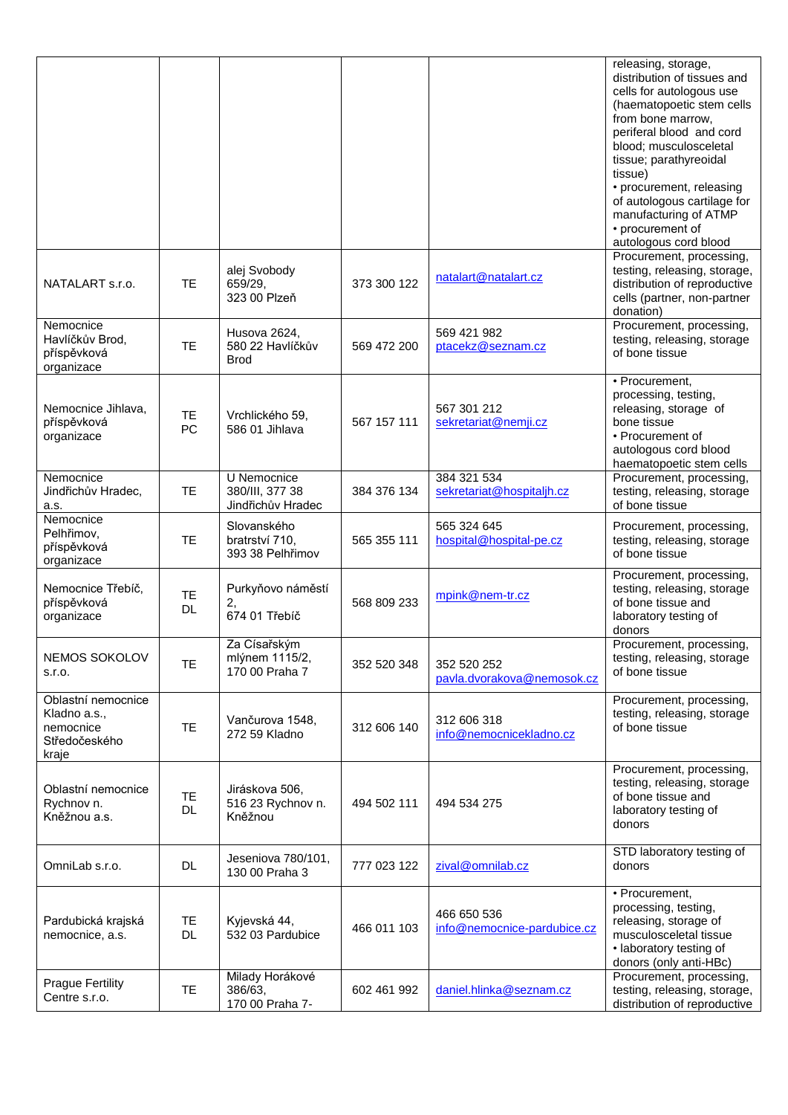|                                                                           |                        |                                                     |             |                                            | releasing, storage,<br>distribution of tissues and<br>cells for autologous use<br>(haematopoetic stem cells<br>from bone marrow,<br>periferal blood and cord<br>blood; musculosceletal<br>tissue; parathyreoidal<br>tissue)<br>• procurement, releasing<br>of autologous cartilage for<br>manufacturing of ATMP<br>• procurement of<br>autologous cord blood |
|---------------------------------------------------------------------------|------------------------|-----------------------------------------------------|-------------|--------------------------------------------|--------------------------------------------------------------------------------------------------------------------------------------------------------------------------------------------------------------------------------------------------------------------------------------------------------------------------------------------------------------|
| NATALART s.r.o.                                                           | <b>TE</b>              | alej Svobody<br>659/29,<br>323 00 Plzeň             | 373 300 122 | natalart@natalart.cz                       | Procurement, processing,<br>testing, releasing, storage,<br>distribution of reproductive<br>cells (partner, non-partner<br>donation)                                                                                                                                                                                                                         |
| Nemocnice<br>Havlíčkův Brod,<br>příspěvková<br>organizace                 | <b>TE</b>              | Husova 2624,<br>580 22 Havlíčkův<br><b>Brod</b>     | 569 472 200 | 569 421 982<br>ptacekz@seznam.cz           | Procurement, processing,<br>testing, releasing, storage<br>of bone tissue                                                                                                                                                                                                                                                                                    |
| Nemocnice Jihlava,<br>příspěvková<br>organizace                           | TE<br>PC               | Vrchlického 59.<br>586 01 Jihlava                   | 567 157 111 | 567 301 212<br>sekretariat@nemji.cz        | • Procurement,<br>processing, testing,<br>releasing, storage of<br>bone tissue<br>• Procurement of<br>autologous cord blood<br>haematopoetic stem cells                                                                                                                                                                                                      |
| Nemocnice<br>Jindřichův Hradec,<br>a.s.                                   | <b>TE</b>              | U Nemocnice<br>380/III, 377 38<br>Jindřichův Hradec | 384 376 134 | 384 321 534<br>sekretariat@hospitaljh.cz   | Procurement, processing,<br>testing, releasing, storage<br>of bone tissue                                                                                                                                                                                                                                                                                    |
| Nemocnice<br>Pelhřimov,<br>příspěvková<br>organizace                      | <b>TE</b>              | Slovanského<br>bratrství 710,<br>393 38 Pelhřimov   | 565 355 111 | 565 324 645<br>hospital@hospital-pe.cz     | Procurement, processing,<br>testing, releasing, storage<br>of bone tissue                                                                                                                                                                                                                                                                                    |
| Nemocnice Třebíč,<br>příspěvková<br>organizace                            | <b>TE</b><br>DL        | Purkyňovo náměstí<br>2,<br>674 01 Třebíč            | 568 809 233 | mpink@nem-tr.cz                            | Procurement, processing,<br>testing, releasing, storage<br>of bone tissue and<br>laboratory testing of<br>donors                                                                                                                                                                                                                                             |
| NEMOS SOKOLOV<br>S.I.O.                                                   | <b>TE</b>              | Za Císařským<br>mlýnem 1115/2,<br>170 00 Praha 7    | 352 520 348 | 352 520 252<br>pavla.dvorakova@nemosok.cz  | Procurement, processing,<br>testing, releasing, storage<br>of bone tissue                                                                                                                                                                                                                                                                                    |
| Oblastní nemocnice<br>Kladno a.s.,<br>nemocnice<br>Středočeského<br>kraje | <b>TE</b>              | Vančurova 1548,<br>272 59 Kladno                    | 312 606 140 | 312 606 318<br>info@nemocnicekladno.cz     | Procurement, processing,<br>testing, releasing, storage<br>of bone tissue                                                                                                                                                                                                                                                                                    |
| Oblastní nemocnice<br>Rychnov n.<br>Kněžnou a.s.                          | <b>TE</b><br><b>DL</b> | Jiráskova 506,<br>516 23 Rychnov n.<br>Kněžnou      | 494 502 111 | 494 534 275                                | Procurement, processing,<br>testing, releasing, storage<br>of bone tissue and<br>laboratory testing of<br>donors                                                                                                                                                                                                                                             |
| OmniLab s.r.o.                                                            | <b>DL</b>              | Jeseniova 780/101,<br>130 00 Praha 3                | 777 023 122 | zival@omnilab.cz                           | STD laboratory testing of<br>donors                                                                                                                                                                                                                                                                                                                          |
| Pardubická krajská<br>nemocnice, a.s.                                     | TE<br>DL.              | Kyjevská 44,<br>532 03 Pardubice                    | 466 011 103 | 466 650 536<br>info@nemocnice-pardubice.cz | • Procurement,<br>processing, testing,<br>releasing, storage of<br>musculosceletal tissue<br>• laboratory testing of<br>donors (only anti-HBc)                                                                                                                                                                                                               |
| <b>Prague Fertility</b><br>Centre s.r.o.                                  | <b>TE</b>              | Milady Horákové<br>386/63,<br>170 00 Praha 7-       | 602 461 992 | daniel.hlinka@seznam.cz                    | Procurement, processing,<br>testing, releasing, storage,<br>distribution of reproductive                                                                                                                                                                                                                                                                     |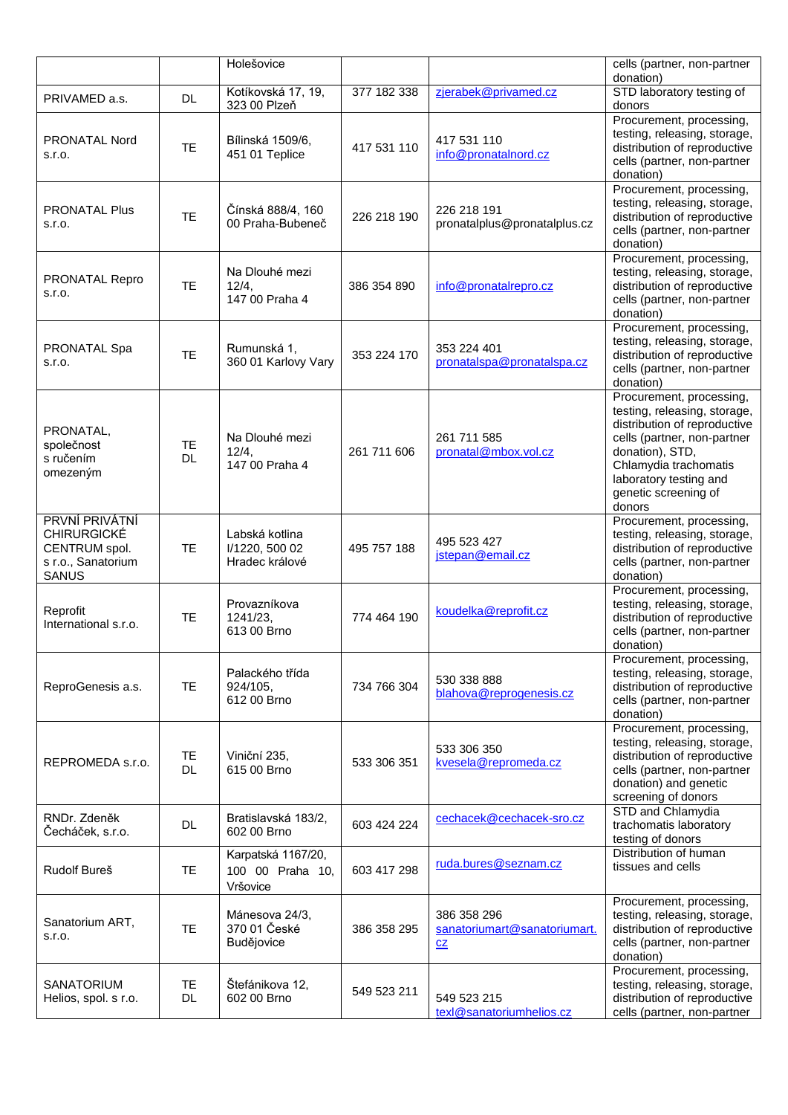|                                                                                             |           | Holešovice                                         |             |                                                   | cells (partner, non-partner                                                                                                                                                                                                     |
|---------------------------------------------------------------------------------------------|-----------|----------------------------------------------------|-------------|---------------------------------------------------|---------------------------------------------------------------------------------------------------------------------------------------------------------------------------------------------------------------------------------|
|                                                                                             |           | Kotíkovská 17, 19,                                 | 377 182 338 | zjerabek@privamed.cz                              | donation)<br>STD laboratory testing of                                                                                                                                                                                          |
| PRIVAMED a.s.                                                                               | DL        | 323 00 Plzeň                                       |             |                                                   | donors                                                                                                                                                                                                                          |
| PRONATAL Nord<br>S.I.O.                                                                     | <b>TE</b> | Bílinská 1509/6,<br>451 01 Teplice                 | 417 531 110 | 417 531 110<br>info@pronatalnord.cz               | Procurement, processing,<br>testing, releasing, storage,<br>distribution of reproductive<br>cells (partner, non-partner<br>donation)                                                                                            |
| <b>PRONATAL Plus</b><br>S.I.O.                                                              | <b>TE</b> | Čínská 888/4, 160<br>00 Praha-Bubeneč              | 226 218 190 | 226 218 191<br>pronatalplus@pronatalplus.cz       | Procurement, processing,<br>testing, releasing, storage,<br>distribution of reproductive<br>cells (partner, non-partner<br>donation)                                                                                            |
| PRONATAL Repro<br>S.r.o.                                                                    | <b>TE</b> | Na Dlouhé mezi<br>$12/4$ ,<br>147 00 Praha 4       | 386 354 890 | info@pronatalrepro.cz                             | Procurement, processing,<br>testing, releasing, storage,<br>distribution of reproductive<br>cells (partner, non-partner<br>donation)                                                                                            |
| PRONATAL Spa<br>S.I.O.                                                                      | <b>TE</b> | Rumunská 1,<br>360 01 Karlovy Vary                 | 353 224 170 | 353 224 401<br>pronatalspa@pronatalspa.cz         | Procurement, processing,<br>testing, releasing, storage,<br>distribution of reproductive<br>cells (partner, non-partner<br>donation)                                                                                            |
| PRONATAL,<br>společnost<br>s ručením<br>omezeným                                            | TE<br>DL  | Na Dlouhé mezi<br>12/4,<br>147 00 Praha 4          | 261 711 606 | 261 711 585<br>pronatal@mbox.vol.cz               | Procurement, processing,<br>testing, releasing, storage,<br>distribution of reproductive<br>cells (partner, non-partner<br>donation), STD,<br>Chlamydia trachomatis<br>laboratory testing and<br>genetic screening of<br>donors |
| PRVNÍ PRIVÁTNÍ<br><b>CHIRURGICKÉ</b><br>CENTRUM spol.<br>s r.o., Sanatorium<br><b>SANUS</b> | TE        | Labská kotlina<br>I/1220, 500 02<br>Hradec králové | 495 757 188 | 495 523 427<br>jstepan@email.cz                   | Procurement, processing,<br>testing, releasing, storage,<br>distribution of reproductive<br>cells (partner, non-partner<br>donation)                                                                                            |
| Reprofit<br>International s.r.o.                                                            | TE        | Provazníkova<br>1241/23,<br>613 00 Brno            | 774 464 190 | koudelka@reprofit.cz                              | Procurement, processing,<br>testing, releasing, storage,<br>distribution of reproductive<br>cells (partner, non-partner<br>donation)                                                                                            |
| ReproGenesis a.s.                                                                           | <b>TE</b> | Palackého třída<br>924/105,<br>612 00 Brno         | 734 766 304 | 530 338 888<br>blahova@reprogenesis.cz            | Procurement, processing,<br>testing, releasing, storage,<br>distribution of reproductive<br>cells (partner, non-partner<br>donation)                                                                                            |
| REPROMEDA s.r.o.                                                                            | TE<br>DL  | Viniční 235,<br>615 00 Brno                        | 533 306 351 | 533 306 350<br>kvesela@repromeda.cz               | Procurement, processing,<br>testing, releasing, storage,<br>distribution of reproductive<br>cells (partner, non-partner<br>donation) and genetic<br>screening of donors                                                         |
| RNDr. Zdeněk<br>Čecháček, s.r.o.                                                            | <b>DL</b> | Bratislavská 183/2,<br>602 00 Brno                 | 603 424 224 | cechacek@cechacek-sro.cz                          | STD and Chlamydia<br>trachomatis laboratory<br>testing of donors                                                                                                                                                                |
| Rudolf Bureš                                                                                | <b>TE</b> | Karpatská 1167/20,<br>100 00 Praha 10,<br>Vršovice | 603 417 298 | ruda.bures@seznam.cz                              | Distribution of human<br>tissues and cells                                                                                                                                                                                      |
| Sanatorium ART,<br>S.r.o.                                                                   | <b>TE</b> | Mánesova 24/3,<br>370 01 České<br>Budějovice       | 386 358 295 | 386 358 296<br>sanatoriumart@sanatoriumart.<br>CZ | Procurement, processing,<br>testing, releasing, storage,<br>distribution of reproductive<br>cells (partner, non-partner<br>donation)                                                                                            |
| <b>SANATORIUM</b><br>Helios, spol. s r.o.                                                   | TE<br>DL. | Štefánikova 12,<br>602 00 Brno                     | 549 523 211 | 549 523 215<br>texl@sanatoriumhelios.cz           | Procurement, processing,<br>testing, releasing, storage,<br>distribution of reproductive<br>cells (partner, non-partner                                                                                                         |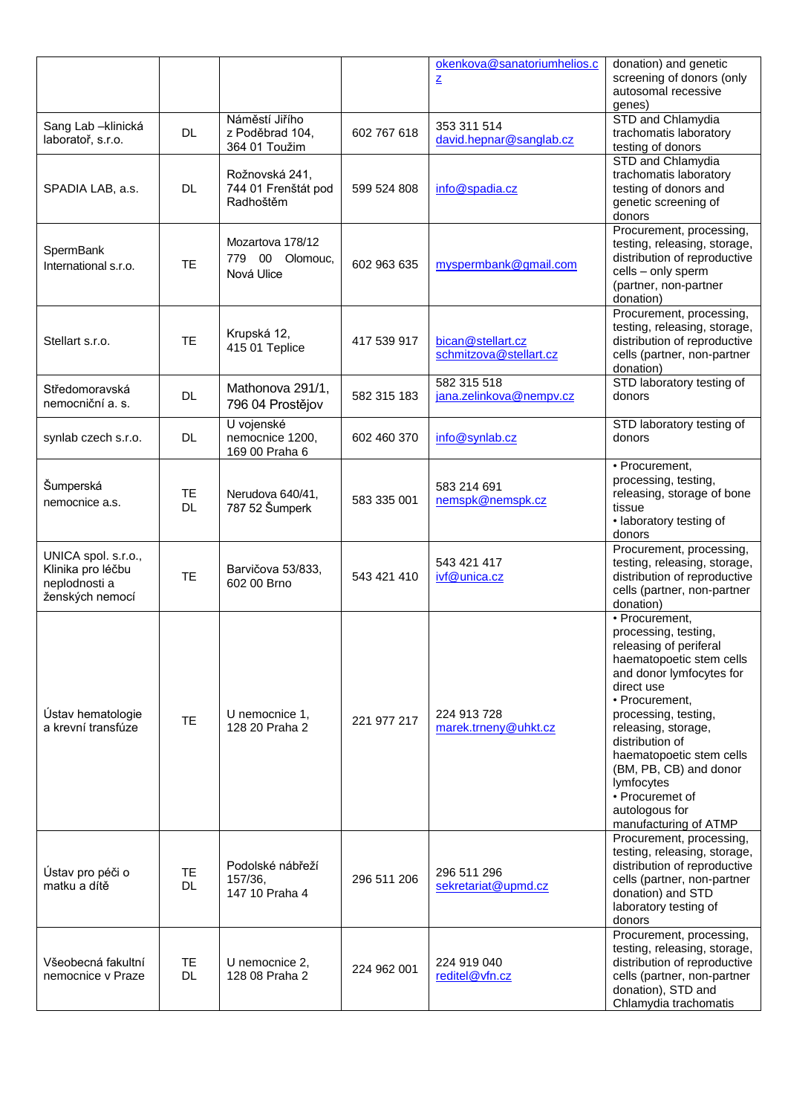|                                                                              |           |                                                    |             | okenkova@sanatoriumhelios.c                 | donation) and genetic                                                                                                                                                                                                                                                                                                                                        |
|------------------------------------------------------------------------------|-----------|----------------------------------------------------|-------------|---------------------------------------------|--------------------------------------------------------------------------------------------------------------------------------------------------------------------------------------------------------------------------------------------------------------------------------------------------------------------------------------------------------------|
|                                                                              |           |                                                    |             | $\mathbf{Z}$                                | screening of donors (only<br>autosomal recessive<br>genes)                                                                                                                                                                                                                                                                                                   |
| Sang Lab - klinická<br>laboratoř, s.r.o.                                     | DL        | Náměstí Jiřího<br>z Poděbrad 104,<br>364 01 Toužim | 602 767 618 | 353 311 514<br>david.hepnar@sanglab.cz      | STD and Chlamydia<br>trachomatis laboratory<br>testing of donors                                                                                                                                                                                                                                                                                             |
| SPADIA LAB, a.s.                                                             | <b>DL</b> | Rožnovská 241,<br>744 01 Frenštát pod<br>Radhoštěm | 599 524 808 | info@spadia.cz                              | STD and Chlamydia<br>trachomatis laboratory<br>testing of donors and<br>genetic screening of<br>donors                                                                                                                                                                                                                                                       |
| SpermBank<br>International s.r.o.                                            | <b>TE</b> | Mozartova 178/12<br>779 00 Olomouc,<br>Nová Ulice  | 602 963 635 | myspermbank@gmail.com                       | Procurement, processing,<br>testing, releasing, storage,<br>distribution of reproductive<br>cells - only sperm<br>(partner, non-partner<br>donation)                                                                                                                                                                                                         |
| Stellart s.r.o.                                                              | <b>TE</b> | Krupská 12,<br>415 01 Teplice                      | 417 539 917 | bican@stellart.cz<br>schmitzova@stellart.cz | Procurement, processing,<br>testing, releasing, storage,<br>distribution of reproductive<br>cells (partner, non-partner<br>donation)                                                                                                                                                                                                                         |
| Středomoravská<br>nemocniční a. s.                                           | DL        | Mathonova 291/1,<br>796 04 Prostějov               | 582 315 183 | 582 315 518<br>jana.zelinkova@nempv.cz      | STD laboratory testing of<br>donors                                                                                                                                                                                                                                                                                                                          |
| synlab czech s.r.o.                                                          | DL.       | U vojenské<br>nemocnice 1200,<br>169 00 Praha 6    | 602 460 370 | info@synlab.cz                              | STD laboratory testing of<br>donors                                                                                                                                                                                                                                                                                                                          |
| Šumperská<br>nemocnice a.s.                                                  | TE<br>DL  | Nerudova 640/41,<br>787 52 Šumperk                 | 583 335 001 | 583 214 691<br>nemspk@nemspk.cz             | • Procurement,<br>processing, testing,<br>releasing, storage of bone<br>tissue<br>· laboratory testing of<br>donors                                                                                                                                                                                                                                          |
| UNICA spol. s.r.o.,<br>Klinika pro léčbu<br>neplodnosti a<br>ženských nemocí | <b>TE</b> | Barvičova 53/833,<br>602 00 Brno                   | 543 421 410 | 543 421 417<br>ivf@unica.cz                 | Procurement, processing,<br>testing, releasing, storage,<br>distribution of reproductive<br>cells (partner, non-partner<br>donation)                                                                                                                                                                                                                         |
| Ústav hematologie<br>a krevní transfúze                                      | <b>TE</b> | U nemocnice 1,<br>128 20 Praha 2                   | 221 977 217 | 224 913 728<br>marek.trneny@uhkt.cz         | • Procurement,<br>processing, testing,<br>releasing of periferal<br>haematopoetic stem cells<br>and donor lymfocytes for<br>direct use<br>• Procurement.<br>processing, testing,<br>releasing, storage,<br>distribution of<br>haematopoetic stem cells<br>(BM, PB, CB) and donor<br>lymfocytes<br>• Procuremet of<br>autologous for<br>manufacturing of ATMP |
| Ústav pro péči o<br>matku a dítě                                             | TE<br>DL. | Podolské nábřeží<br>157/36,<br>147 10 Praha 4      | 296 511 206 | 296 511 296<br>sekretariat@upmd.cz          | Procurement, processing,<br>testing, releasing, storage,<br>distribution of reproductive<br>cells (partner, non-partner<br>donation) and STD<br>laboratory testing of<br>donors                                                                                                                                                                              |
| Všeobecná fakultní<br>nemocnice y Praze                                      | TE<br>DL  | U nemocnice 2.<br>128 08 Praha 2                   | 224 962 001 | 224 919 040<br>reditel@vfn.cz               | Procurement, processing,<br>testing, releasing, storage,<br>distribution of reproductive<br>cells (partner, non-partner<br>donation), STD and<br>Chlamydia trachomatis                                                                                                                                                                                       |